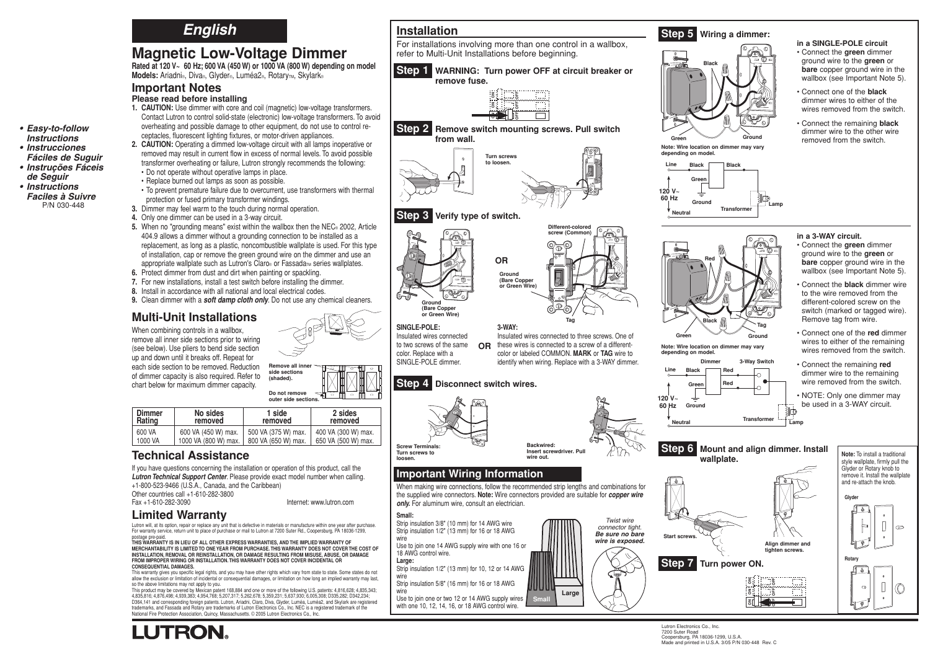## **English**

# **Magnetic Low-Voltage Dimmer**

**Rated at 120 V~ 60 Hz; 600 VA (450 W) or 1000 VA (800 W) depending on model** Models: Ariadni®, Diva®, Glyder®, Luméa2®, RotaryTM, Skylark®

### **Important Notes**

**• Easy-to-follow Instructions • Instrucciones Fáciles de Suguir • Instruções Fáceis de Seguir • Instructions Faciles à Suivre** P/N 030-448

- **Please read before installing**
- **1. CAUTION:** Use dimmer with core and coil (magnetic) low-voltage transformers. Contact Lutron to control solid-state (electronic) low-voltage transformers. To avoid overheating and possible damage to other equipment, do not use to control receptacles, fluorescent lighting fixtures, or motor-driven appliances.
- **2. CAUTION:** Operating a dimmed low-voltage circuit with all lamps inoperative or removed may result in current flow in excess of normal levels. To avoid possible transformer overheating or failure, Lutron strongly recommends the following: • Do not operate without operative lamps in place.
	- Replace burned out lamps as soon as possible.
- To prevent premature failure due to overcurrent, use transformers with thermal
- protection or fused primary transformer windings.
- **3.** Dimmer may feel warm to the touch during normal operation.
- **4.** Only one dimmer can be used in a 3-way circuit.
- **5.** When no "grounding means" exist within the wallbox then the NEC® 2002, Article 404.9 allows a dimmer without a grounding connection to be installed as a replacement, as long as a plastic, noncombustible wallplate is used. For this type of installation, cap or remove the green ground wire on the dimmer and use an appropriate wallplate such as Lutron's Claro® or Fassada<sub>™</sub> series wallplates.
- **6.** Protect dimmer from dust and dirt when painting or spackling.
- **7.** For new installations, install a test switch before installing the dimmer.
- **8.** Install in accordance with all national and local electrical codes.
- **9.** Clean dimmer with a **soft damp cloth only**. Do not use any chemical cleaners.

## **Multi-Unit Installations**

When combining controls in a wallbox, remove all inner side sections prior to wiring (see below). Use pliers to bend side section up and down until it breaks off. Repeat for each side section to be removed. Reduction of dimmer capacity is also required. Refer to chart below for maximum dimmer capacity.

**side sections (shaded). Do not remove outer side sectio** 

| <b>Dimmer</b><br>Rating | No sides<br>removed  | 1 side<br>removed   | 2 sides<br>removed  |
|-------------------------|----------------------|---------------------|---------------------|
| 600 VA                  | 600 VA (450 W) max.  | 500 VA (375 W) max. | 400 VA (300 W) max. |
| 1000 VA                 | 1000 VA (800 W) max. | 800 VA (650 W) max. | 650 VA (500 W) max. |

## **Technical Assistance**

If you have questions concerning the installation or operation of this product, call the **Lutron Technical Support Center**. Please provide exact model number when calling. +1-800-523-9466 (U.S.A., Canada, and the Caribbean)

Other countries call +1-610-282-3800

Fax +1-610-282-3090 Internet: www.lutron.com

## **Limited Warranty**

**LUTRON** 

Lutron will, at its option, repair or replace any unit that is defective in materials or manufacture within one year after purchase. For warranty service, return unit to place of purchase or mail to Lutron at 7200 Suter Rd., Coopersburg, PA 18036-1299, postage pre-paid.

**THIS WARRANTY IS IN LIEU OF ALL OTHER EXPRESS WARRANTIES, AND THE IMPLIED WARRANTY OF MERCHANTABILITY IS LIMITED TO ONE YEAR FROM PURCHASE. THIS WARRANTY DOES NOT COVER THE COST OF INSTALLATION, REMOVAL OR REINSTALLATION, OR DAMAGE RESULTING FROM MISUSE, ABUSE, OR DAMAGE FROM IMPROPER WIRING OR INSTALLATION. THIS WARRANTY DOES NOT COVER INCIDENTAL OR CONSEQUENTIAL DAMAGES.**

This warranty gives you specific legal rights, and you may have other rights which vary from state to state. Some states do not allow the exclusion or limitation of incidental or consequential damages, or limitation on how long an implied warranty may last, so the above limitations may not apply to you.

This product may be covered by Mexican patent 168,884 and one or more of the following U.S. patents: 4,816,628; 4,835,343; 4,835,816; 4,876,498; 4,939,383; 4,954,768; 5,207,317; 5,262,678; 5,359,231; 5,637,930; 6,005,308; D335,282; D342,234; D364,141 and corresponding foreign patents. Lutron, Ariadni, Claro, Diva, Glyder, Luméa, Luméa2, and Skylark are registered trademarks, and Fassada and Rotary are trademarks of Lutron Electronics Co., Inc. NEC is a registered trademark of the National Fire Protection Association, Quincy, Massachusetts. © 2005 Lutron Electronics Co., Inc.



refer to Multi-Unit Installations before beginning.

**Step 1 WARNING: Turn power OFF at circuit breaker or** 

**Installation**

#### **Step 5 Wiring a dimmer:** For installations involving more than one control in a wallbox,

# **Green Ground Black Note: Wire location on dimmer may vary depending on model.**





**Black Red**

**Note: Wire location on dimmer depending on model.**

**120 V~ 60 Hz Ground**

**Neutral**

**Line**

**Green Red**

**Dimmer**

#### **in a 3-WAY circuit.** • Connect the **green** dimmer ground wire to the **green** or **bare** copper ground wire in the wallbox (see Important Note 5).

• Connect the **black** dimmer wire to the wire removed from the different-colored screw on the switch (marked or tagged wire). Remove tag from wire.

• Connect one of the **red** dimmer wires to either of the remaining wires removed from the switch.

• Connect the remaining **red** dimmer wire to the remaining wire removed from the switch.

• NOTE: Only one dimmer may be used in a 3-WAY circuit. فتالأ



**3-Way Switch**

**Transformer Lam** 

**ON**

នី

 $\frac{\mu}{\sigma}$ 

**OFF**





**Note:** To install a traditional style wallplate, firmly pull the

Lutron Electronics Co., Inc. 7200 Suter Road Coopersburg, PA 18036-1299, U.S.A. Made and printed in U.S.A. 3/05 P/N 030-448 Rev. C

#### **in a SINGLE-POLE circuit** • Connect the **green** dimmer ground wire to the **green** or **bare** copper ground wire in the wallbox (see Important Note 5).

• Connect one of the **black** dimmer wires to either of the wires removed from the switch.

• Connect the remaining **black** dimmer wire to the other wire removed from the switch.



| ummer<br>Rating | <b>NO SIGES</b><br>removed | 1 siae<br>removed   | <b>Z</b> sides<br>removed |
|-----------------|----------------------------|---------------------|---------------------------|
| 600 VA          | 600 VA (450 W) max.        | 500 VA (375 W) max. | 400 VA (300 W) max.       |
| 1000 VA         | 1000 VA (800 W) max.       | 800 VA (650 W) max. | 650 VA (500 W) max.       |
|                 |                            |                     |                           |

**Small Large**

18 AWG control wire. **Large:** Strip insulation 1/2" (13 mm) for 10, 12 or 14 AWG

wire Strip insulation 5/8" (16 mm) for 16 or 18 AWG

wire Use to join one or two 12 or 14 AWG supply wires with one 10, 12, 14, 16, or 18 AWG control wire.